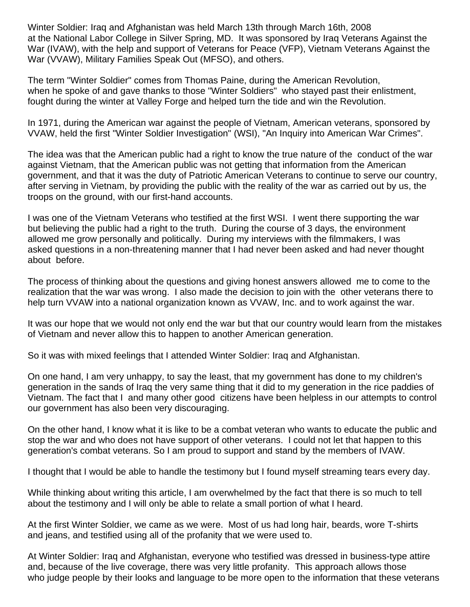Winter Soldier: Iraq and Afghanistan was held March 13th through March 16th, 2008 at the National Labor College in Silver Spring, MD. It was sponsored by Iraq Veterans Against the War (IVAW), with the help and support of Veterans for Peace (VFP), Vietnam Veterans Against the War (VVAW), Military Families Speak Out (MFSO), and others.

The term "Winter Soldier" comes from Thomas Paine, during the American Revolution, when he spoke of and gave thanks to those "Winter Soldiers" who stayed past their enlistment, fought during the winter at Valley Forge and helped turn the tide and win the Revolution.

In 1971, during the American war against the people of Vietnam, American veterans, sponsored by VVAW, held the first "Winter Soldier Investigation" (WSI), "An Inquiry into American War Crimes".

The idea was that the American public had a right to know the true nature of the conduct of the war against Vietnam, that the American public was not getting that information from the American government, and that it was the duty of Patriotic American Veterans to continue to serve our country, after serving in Vietnam, by providing the public with the reality of the war as carried out by us, the troops on the ground, with our first-hand accounts.

I was one of the Vietnam Veterans who testified at the first WSI. I went there supporting the war but believing the public had a right to the truth. During the course of 3 days, the environment allowed me grow personally and politically. During my interviews with the filmmakers, I was asked questions in a non-threatening manner that I had never been asked and had never thought about before.

The process of thinking about the questions and giving honest answers allowed me to come to the realization that the war was wrong. I also made the decision to join with the other veterans there to help turn VVAW into a national organization known as VVAW, Inc. and to work against the war.

It was our hope that we would not only end the war but that our country would learn from the mistakes of Vietnam and never allow this to happen to another American generation.

So it was with mixed feelings that I attended Winter Soldier: Iraq and Afghanistan.

On one hand, I am very unhappy, to say the least, that my government has done to my children's generation in the sands of Iraq the very same thing that it did to my generation in the rice paddies of Vietnam. The fact that I and many other good citizens have been helpless in our attempts to control our government has also been very discouraging.

On the other hand, I know what it is like to be a combat veteran who wants to educate the public and stop the war and who does not have support of other veterans. I could not let that happen to this generation's combat veterans. So I am proud to support and stand by the members of IVAW.

I thought that I would be able to handle the testimony but I found myself streaming tears every day.

While thinking about writing this article, I am overwhelmed by the fact that there is so much to tell about the testimony and I will only be able to relate a small portion of what I heard.

At the first Winter Soldier, we came as we were. Most of us had long hair, beards, wore T-shirts and jeans, and testified using all of the profanity that we were used to.

At Winter Soldier: Iraq and Afghanistan, everyone who testified was dressed in business-type attire and, because of the live coverage, there was very little profanity. This approach allows those who judge people by their looks and language to be more open to the information that these veterans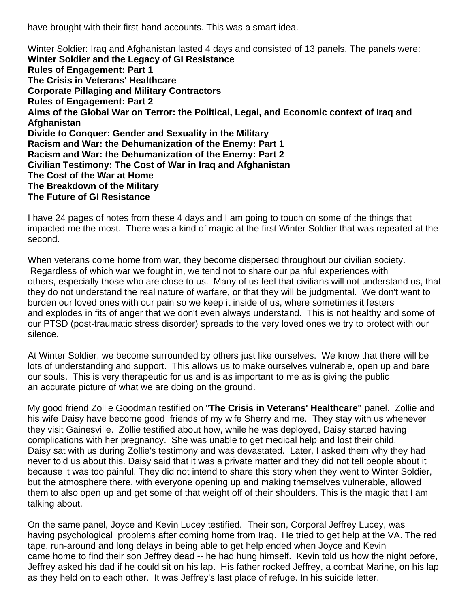have brought with their first-hand accounts. This was a smart idea.

Winter Soldier: Iraq and Afghanistan lasted 4 days and consisted of 13 panels. The panels were: **Winter Soldier and the Legacy of GI Resistance Rules of Engagement: Part 1 The Crisis in Veterans' Healthcare Corporate Pillaging and Military Contractors Rules of Engagement: Part 2 Aims of the Global War on Terror: the Political, Legal, and Economic context of Iraq and Afghanistan Divide to Conquer: Gender and Sexuality in the Military Racism and War: the Dehumanization of the Enemy: Part 1 Racism and War: the Dehumanization of the Enemy: Part 2 Civilian Testimony: The Cost of War in Iraq and Afghanistan The Cost of the War at Home The Breakdown of the Military The Future of GI Resistance**

I have 24 pages of notes from these 4 days and I am going to touch on some of the things that impacted me the most. There was a kind of magic at the first Winter Soldier that was repeated at the second.

When veterans come home from war, they become dispersed throughout our civilian society. Regardless of which war we fought in, we tend not to share our painful experiences with others, especially those who are close to us. Many of us feel that civilians will not understand us, that they do not understand the real nature of warfare, or that they will be judgmental. We don't want to burden our loved ones with our pain so we keep it inside of us, where sometimes it festers and explodes in fits of anger that we don't even always understand. This is not healthy and some of our PTSD (post-traumatic stress disorder) spreads to the very loved ones we try to protect with our silence.

At Winter Soldier, we become surrounded by others just like ourselves. We know that there will be lots of understanding and support. This allows us to make ourselves vulnerable, open up and bare our souls. This is very therapeutic for us and is as important to me as is giving the public an accurate picture of what we are doing on the ground.

My good friend Zollie Goodman testified on "**The Crisis in Veterans' Healthcare"** panel. Zollie and his wife Daisy have become good friends of my wife Sherry and me. They stay with us whenever they visit Gainesville. Zollie testified about how, while he was deployed, Daisy started having complications with her pregnancy. She was unable to get medical help and lost their child. Daisy sat with us during Zollie's testimony and was devastated. Later, I asked them why they had never told us about this. Daisy said that it was a private matter and they did not tell people about it because it was too painful. They did not intend to share this story when they went to Winter Soldier, but the atmosphere there, with everyone opening up and making themselves vulnerable, allowed them to also open up and get some of that weight off of their shoulders. This is the magic that I am talking about.

On the same panel, Joyce and Kevin Lucey testified. Their son, Corporal Jeffrey Lucey, was having psychological problems after coming home from Iraq. He tried to get help at the VA. The red tape, run-around and long delays in being able to get help ended when Joyce and Kevin came home to find their son Jeffrey dead -- he had hung himself. Kevin told us how the night before, Jeffrey asked his dad if he could sit on his lap. His father rocked Jeffrey, a combat Marine, on his lap as they held on to each other. It was Jeffrey's last place of refuge. In his suicide letter,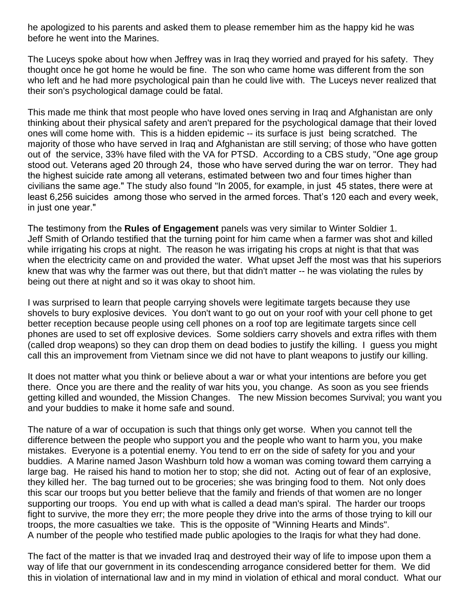he apologized to his parents and asked them to please remember him as the happy kid he was before he went into the Marines.

The Luceys spoke about how when Jeffrey was in Iraq they worried and prayed for his safety. They thought once he got home he would be fine. The son who came home was different from the son who left and he had more psychological pain than he could live with. The Luceys never realized that their son's psychological damage could be fatal.

This made me think that most people who have loved ones serving in Iraq and Afghanistan are only thinking about their physical safety and aren't prepared for the psychological damage that their loved ones will come home with. This is a hidden epidemic -- its surface is just being scratched. The majority of those who have served in Iraq and Afghanistan are still serving; of those who have gotten out of the service, 33% have filed with the VA for PTSD. According to a CBS study, "One age group stood out. Veterans aged 20 through 24, those who have served during the war on terror. They had the highest suicide rate among all veterans, estimated between two and four times higher than civilians the same age." The study also found "In 2005, for example, in just 45 states, there were at least 6,256 suicides among those who served in the armed forces. That's 120 each and every week, in just one year."

The testimony from the **Rules of Engagement** panels was very similar to Winter Soldier 1. Jeff Smith of Orlando testified that the turning point for him came when a farmer was shot and killed while irrigating his crops at night. The reason he was irrigating his crops at night is that that was when the electricity came on and provided the water. What upset Jeff the most was that his superiors knew that was why the farmer was out there, but that didn't matter -- he was violating the rules by being out there at night and so it was okay to shoot him.

I was surprised to learn that people carrying shovels were legitimate targets because they use shovels to bury explosive devices. You don't want to go out on your roof with your cell phone to get better reception because people using cell phones on a roof top are legitimate targets since cell phones are used to set off explosive devices. Some soldiers carry shovels and extra rifles with them (called drop weapons) so they can drop them on dead bodies to justify the killing. I guess you might call this an improvement from Vietnam since we did not have to plant weapons to justify our killing.

It does not matter what you think or believe about a war or what your intentions are before you get there. Once you are there and the reality of war hits you, you change. As soon as you see friends getting killed and wounded, the Mission Changes. The new Mission becomes Survival; you want you and your buddies to make it home safe and sound.

The nature of a war of occupation is such that things only get worse. When you cannot tell the difference between the people who support you and the people who want to harm you, you make mistakes. Everyone is a potential enemy. You tend to err on the side of safety for you and your buddies. A Marine named Jason Washburn told how a woman was coming toward them carrying a large bag. He raised his hand to motion her to stop; she did not. Acting out of fear of an explosive, they killed her. The bag turned out to be groceries; she was bringing food to them. Not only does this scar our troops but you better believe that the family and friends of that women are no longer supporting our troops. You end up with what is called a dead man's spiral. The harder our troops fight to survive, the more they err; the more people they drive into the arms of those trying to kill our troops, the more casualties we take. This is the opposite of "Winning Hearts and Minds". A number of the people who testified made public apologies to the Iraqis for what they had done.

The fact of the matter is that we invaded Iraq and destroyed their way of life to impose upon them a way of life that our government in its condescending arrogance considered better for them. We did this in violation of international law and in my mind in violation of ethical and moral conduct. What our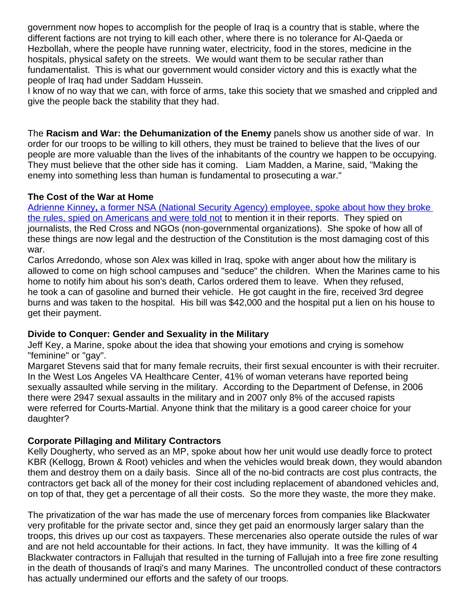government now hopes to accomplish for the people of Iraq is a country that is stable, where the different factions are not trying to kill each other, where there is no tolerance for Al-Qaeda or Hezbollah, where the people have running water, electricity, food in the stores, medicine in the hospitals, physical safety on the streets. We would want them to be secular rather than fundamentalist. This is what our government would consider victory and this is exactly what the people of Iraq had under Saddam Hussein.

I know of no way that we can, with force of arms, take this society that we smashed and crippled and give the people back the stability that they had.

The **Racism and War: the Dehumanization of the Enemy** panels show us another side of war. In order for our troops to be willing to kill others, they must be trained to believe that the lives of our people are more valuable than the lives of the inhabitants of the country we happen to be occupying. They must believe that the other side has it coming. Liam Madden, a Marine, said, "Making the enemy into something less than human is fundamental to prosecuting a war."

# **The Cost of the War at Home**

Adrienne Kinney**,** a former NSA (National [Security Agency\)](http://www.afterdowningstreet.org/?q=node/24183) employee, spoke about how they broke the rules, spied on [Americans and](http://www.afterdowningstreet.org/?q=node/24183) were told not to mention it in their reports. They spied on journalists, the Red Cross and NGOs (non-governmental organizations). She spoke of how all of these things are now legal and the destruction of the Constitution is the most damaging cost of this war.

Carlos Arredondo, whose son Alex was killed in Iraq, spoke with anger about how the military is allowed to come on high school campuses and "seduce" the children. When the Marines came to his home to notify him about his son's death, Carlos ordered them to leave. When they refused, he took a can of gasoline and burned their vehicle. He got caught in the fire, received 3rd degree burns and was taken to the hospital. His bill was \$42,000 and the hospital put a lien on his house to get their payment.

### **Divide to Conquer: Gender and Sexuality in the Military**

Jeff Key, a Marine, spoke about the idea that showing your emotions and crying is somehow "feminine" or "gay".

Margaret Stevens said that for many female recruits, their first sexual encounter is with their recruiter. In the West Los Angeles VA Healthcare Center, 41% of woman veterans have reported being sexually assaulted while serving in the military. According to the Department of Defense, in 2006 there were 2947 sexual assaults in the military and in 2007 only 8% of the accused rapists were referred for Courts-Martial. Anyone think that the military is a good career choice for your daughter?

### **Corporate Pillaging and Military Contractors**

Kelly Dougherty, who served as an MP, spoke about how her unit would use deadly force to protect KBR (Kellogg, Brown & Root) vehicles and when the vehicles would break down, they would abandon them and destroy them on a daily basis. Since all of the no-bid contracts are cost plus contracts, the contractors get back all of the money for their cost including replacement of abandoned vehicles and, on top of that, they get a percentage of all their costs. So the more they waste, the more they make.

The privatization of the war has made the use of mercenary forces from companies like Blackwater very profitable for the private sector and, since they get paid an enormously larger salary than the troops, this drives up our cost as taxpayers. These mercenaries also operate outside the rules of war and are not held accountable for their actions. In fact, they have immunity. It was the killing of 4 Blackwater contractors in Fallujah that resulted in the turning of Fallujah into a free fire zone resulting in the death of thousands of Iraqi's and many Marines. The uncontrolled conduct of these contractors has actually undermined our efforts and the safety of our troops.